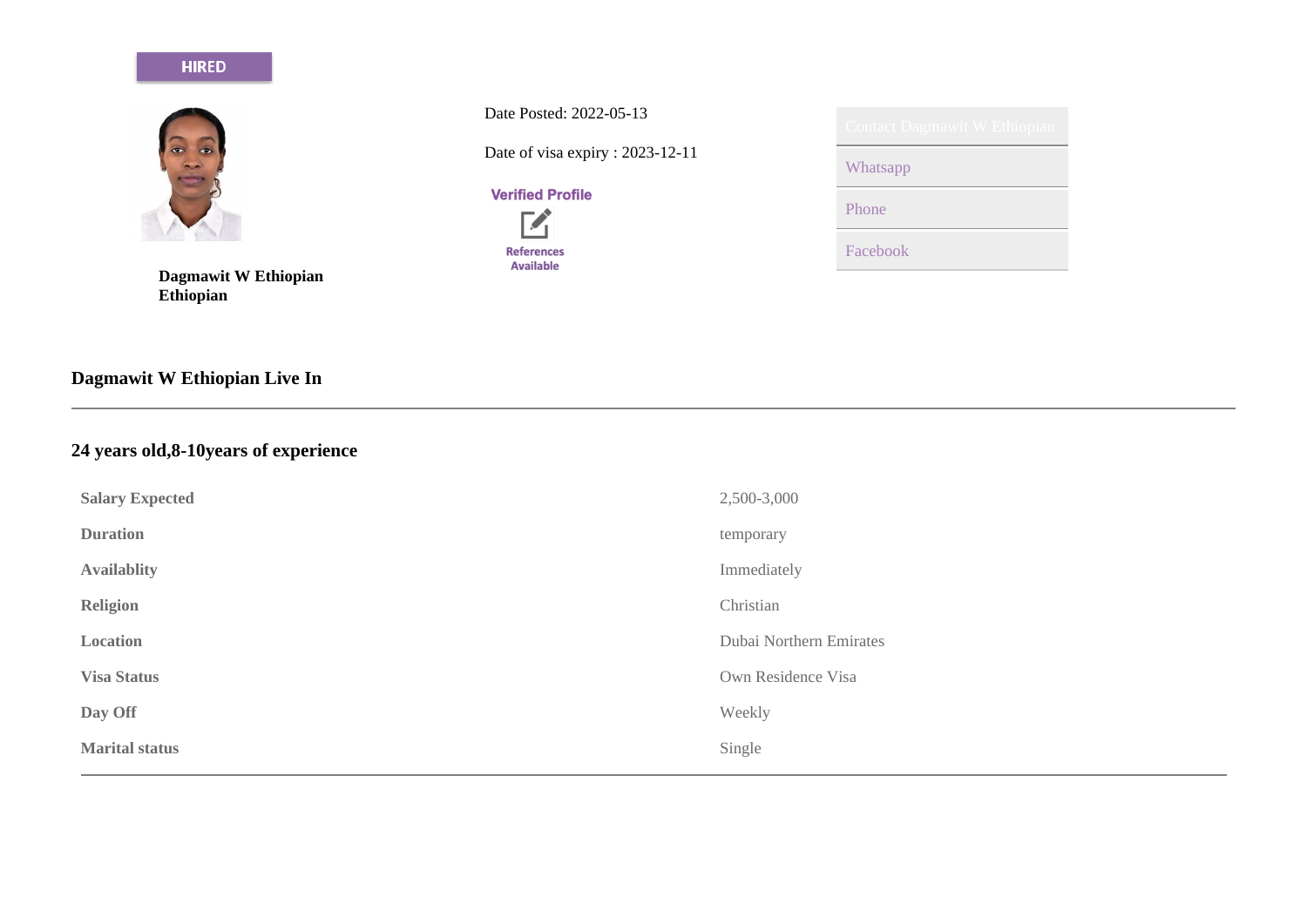## **HIRED**



**Dagmawit W Ethiopian Ethiopian**

**Dagmawit W Ethiopian Live In**

## **24 years old,8-10years of experience**

| <b>Salary Expected</b> | 2,500-3,000             |
|------------------------|-------------------------|
| <b>Duration</b>        | temporary               |
| <b>Availablity</b>     | Immediately             |
| <b>Religion</b>        | Christian               |
| Location               | Dubai Northern Emirates |
| <b>Visa Status</b>     | Own Residence Visa      |
| Day Off                | Weekly                  |
| <b>Marital status</b>  | Single                  |

Date Posted: 2022-05-13

Date of visa expiry : 2023-12-11

# **Verified Profile**

 $\mathbf{Z}$ **References** Available

| U III d<br>. . | ×е.<br>u vyuu<br>٠ | ٠<br>. .<br>٠ |
|----------------|--------------------|---------------|
|                |                    |               |
|                |                    |               |

Whatsapp

Phone

Facebook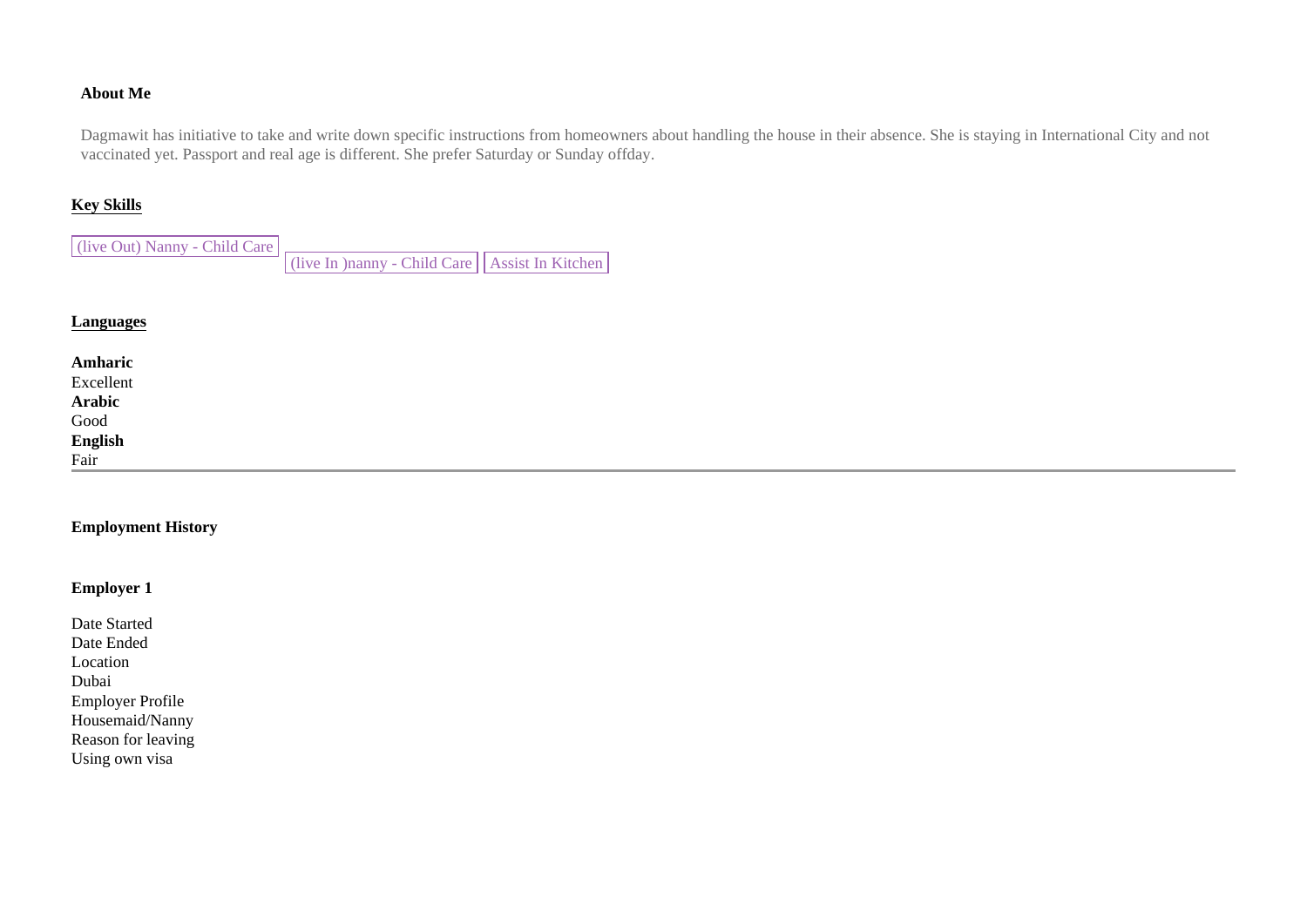#### **About Me**

Dagmawit has initiative to take and write down specific instructions from homeowners about handling the house in their absence. She is staying in International City and not vaccinated yet. Passport and real age is different. She prefer Saturday or Sunday offday.

#### **Key Skills**

(live Out) Nanny - Child Care  $\vert$  (live In )nanny - Child Care  $\vert$  Assist In Kitchen

#### **Languages**

| Amharic<br>Excellent<br>Arabic<br>Good<br>English<br>Fair |  |  |
|-----------------------------------------------------------|--|--|

#### **Employment History**

## **Employer 1**

| Date Started            |
|-------------------------|
| Date Ended              |
| Location                |
| Dubai                   |
| <b>Employer Profile</b> |
| Housemaid/Nanny         |
| Reason for leaving      |
| Using own visa          |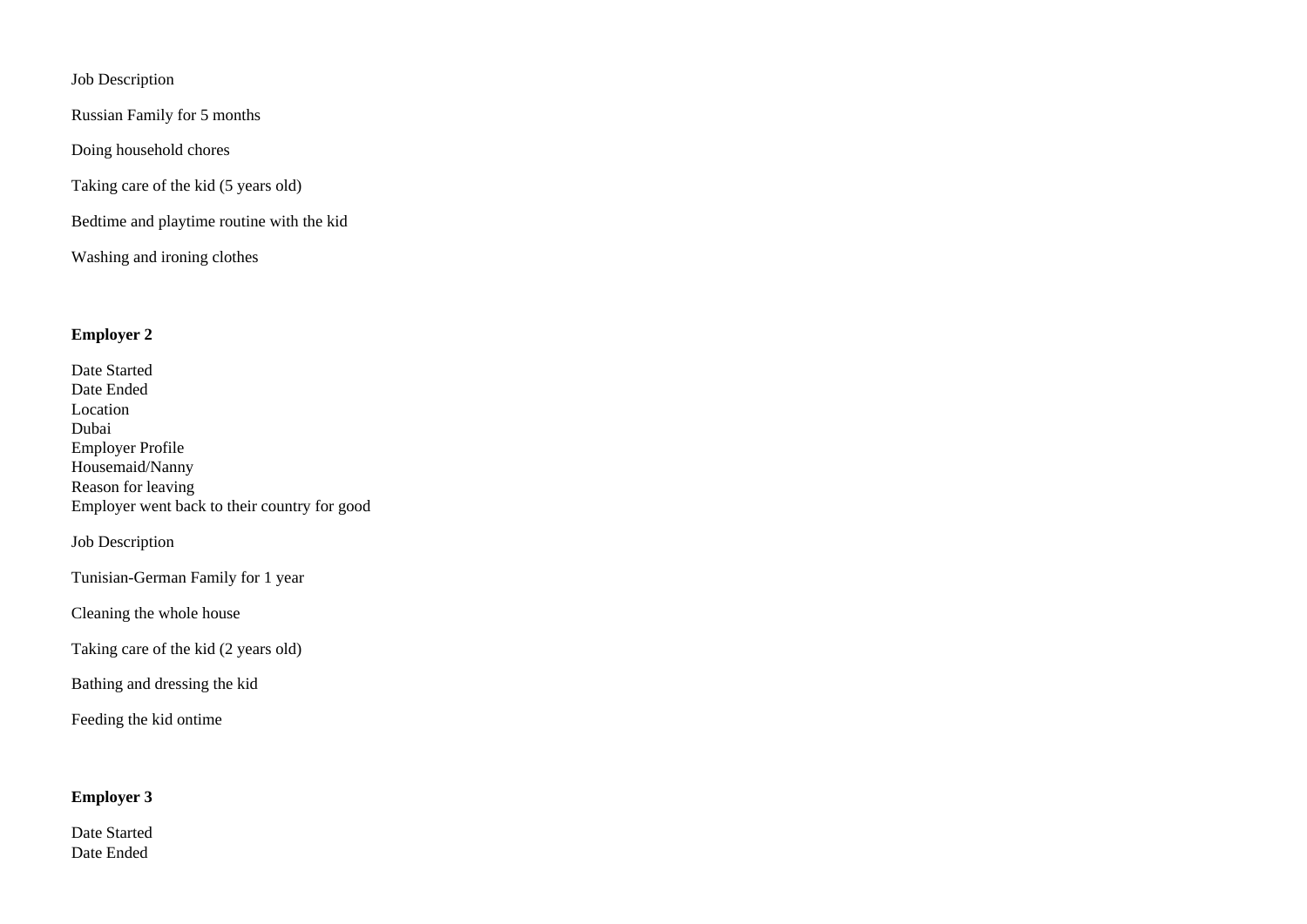Job Description

Russian Family for 5 months

Doing household chores

Taking care of the kid (5 years old)

Bedtime and playtime routine with the kid

Washing and ironing clothes

## **Employer 2**

| Date Started                                 |
|----------------------------------------------|
| Date Ended                                   |
| Location                                     |
| Dubai                                        |
| <b>Employer Profile</b>                      |
| Housemaid/Nanny                              |
| Reason for leaving                           |
| Employer went back to their country for good |
|                                              |

Job Description

Tunisian-German Family for 1 year

Cleaning the whole house

Taking care of the kid (2 years old)

Bathing and dressing the kid

Feeding the kid ontime

## **Employer 3**

Date Started Date Ended